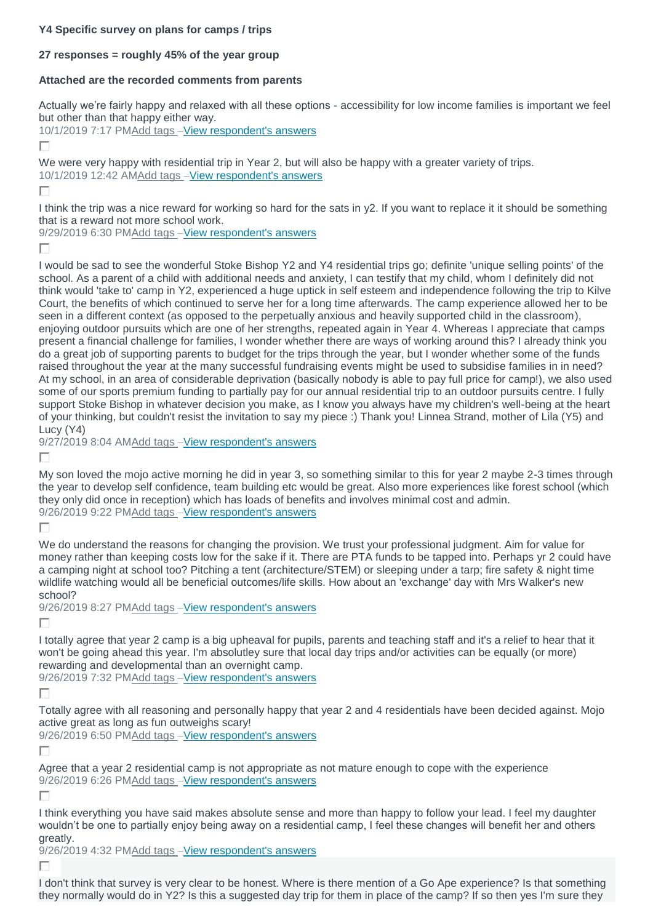## **Y4 Specific survey on plans for camps / trips**

## **27 responses = roughly 45% of the year group**

## **Attached are the recorded comments from parents**

Actually we're fairly happy and relaxed with all these options - accessibility for low income families is important we feel but other than that happy either way.

10/1/2019 7:17 P[MAdd tags](https://www.surveymonkey.com/analyze/jhnR_2F3hrAWn0FXycG_2FiXcbhQd8QBD7pg84E8FUll_2BKw_3D?tab_clicked=1&show_dashboard_tour=true&source=dashboard_list) –[View respondent's answers](https://www.surveymonkey.com/analyze/jhnR_2F3hrAWn0FXycG_2FiXcbhQd8QBD7pg84E8FUll_2BKw_3D?tab_clicked=1&show_dashboard_tour=true&source=dashboard_list)

П

We were very happy with residential trip in Year 2, but will also be happy with a greater variety of trips. 10/1/2019 12:42 A[MAdd tags](https://www.surveymonkey.com/analyze/jhnR_2F3hrAWn0FXycG_2FiXcbhQd8QBD7pg84E8FUll_2BKw_3D?tab_clicked=1&show_dashboard_tour=true&source=dashboard_list) –[View respondent's answers](https://www.surveymonkey.com/analyze/jhnR_2F3hrAWn0FXycG_2FiXcbhQd8QBD7pg84E8FUll_2BKw_3D?tab_clicked=1&show_dashboard_tour=true&source=dashboard_list)

г

I think the trip was a nice reward for working so hard for the sats in y2. If you want to replace it it should be something that is a reward not more school work.

9/29/2019 6:30 P[MAdd tags](https://www.surveymonkey.com/analyze/jhnR_2F3hrAWn0FXycG_2FiXcbhQd8QBD7pg84E8FUll_2BKw_3D?tab_clicked=1&show_dashboard_tour=true&source=dashboard_list) -[View respondent's answers](https://www.surveymonkey.com/analyze/jhnR_2F3hrAWn0FXycG_2FiXcbhQd8QBD7pg84E8FUll_2BKw_3D?tab_clicked=1&show_dashboard_tour=true&source=dashboard_list)

г

I would be sad to see the wonderful Stoke Bishop Y2 and Y4 residential trips go; definite 'unique selling points' of the school. As a parent of a child with additional needs and anxiety, I can testify that my child, whom I definitely did not think would 'take to' camp in Y2, experienced a huge uptick in self esteem and independence following the trip to Kilve Court, the benefits of which continued to serve her for a long time afterwards. The camp experience allowed her to be seen in a different context (as opposed to the perpetually anxious and heavily supported child in the classroom), enjoying outdoor pursuits which are one of her strengths, repeated again in Year 4. Whereas I appreciate that camps present a financial challenge for families, I wonder whether there are ways of working around this? I already think you do a great job of supporting parents to budget for the trips through the year, but I wonder whether some of the funds raised throughout the year at the many successful fundraising events might be used to subsidise families in in need? At my school, in an area of considerable deprivation (basically nobody is able to pay full price for camp!), we also used some of our sports premium funding to partially pay for our annual residential trip to an outdoor pursuits centre. I fully support Stoke Bishop in whatever decision you make, as I know you always have my children's well-being at the heart of your thinking, but couldn't resist the invitation to say my piece :) Thank you! Linnea Strand, mother of Lila (Y5) and Lucy (Y4)

9/27/2019 8:04 A[MAdd tags](https://www.surveymonkey.com/analyze/jhnR_2F3hrAWn0FXycG_2FiXcbhQd8QBD7pg84E8FUll_2BKw_3D?tab_clicked=1&show_dashboard_tour=true&source=dashboard_list) –[View respondent's answers](https://www.surveymonkey.com/analyze/jhnR_2F3hrAWn0FXycG_2FiXcbhQd8QBD7pg84E8FUll_2BKw_3D?tab_clicked=1&show_dashboard_tour=true&source=dashboard_list)

г

My son loved the mojo active morning he did in year 3, so something similar to this for year 2 maybe 2-3 times through the year to develop self confidence, team building etc would be great. Also more experiences like forest school (which they only did once in reception) which has loads of benefits and involves minimal cost and admin. 9/26/2019 9:22 P[MAdd tags](https://www.surveymonkey.com/analyze/jhnR_2F3hrAWn0FXycG_2FiXcbhQd8QBD7pg84E8FUll_2BKw_3D?tab_clicked=1&show_dashboard_tour=true&source=dashboard_list) –[View respondent's answers](https://www.surveymonkey.com/analyze/jhnR_2F3hrAWn0FXycG_2FiXcbhQd8QBD7pg84E8FUll_2BKw_3D?tab_clicked=1&show_dashboard_tour=true&source=dashboard_list)

Г

We do understand the reasons for changing the provision. We trust your professional judgment. Aim for value for money rather than keeping costs low for the sake if it. There are PTA funds to be tapped into. Perhaps yr 2 could have a camping night at school too? Pitching a tent (architecture/STEM) or sleeping under a tarp; fire safety & night time wildlife watching would all be beneficial outcomes/life skills. How about an 'exchange' day with Mrs Walker's new school?

9/26/2019 8:27 P[MAdd tags](https://www.surveymonkey.com/analyze/jhnR_2F3hrAWn0FXycG_2FiXcbhQd8QBD7pg84E8FUll_2BKw_3D?tab_clicked=1&show_dashboard_tour=true&source=dashboard_list) –[View respondent's answers](https://www.surveymonkey.com/analyze/jhnR_2F3hrAWn0FXycG_2FiXcbhQd8QBD7pg84E8FUll_2BKw_3D?tab_clicked=1&show_dashboard_tour=true&source=dashboard_list)

П

I totally agree that year 2 camp is a big upheaval for pupils, parents and teaching staff and it's a relief to hear that it won't be going ahead this year. I'm absolutley sure that local day trips and/or activities can be equally (or more) rewarding and developmental than an overnight camp.

9/26/2019 7:32 P[MAdd tags](https://www.surveymonkey.com/analyze/jhnR_2F3hrAWn0FXycG_2FiXcbhQd8QBD7pg84E8FUll_2BKw_3D?tab_clicked=1&show_dashboard_tour=true&source=dashboard_list) –[View respondent's answers](https://www.surveymonkey.com/analyze/jhnR_2F3hrAWn0FXycG_2FiXcbhQd8QBD7pg84E8FUll_2BKw_3D?tab_clicked=1&show_dashboard_tour=true&source=dashboard_list)

П

Totally agree with all reasoning and personally happy that year 2 and 4 residentials have been decided against. Mojo active great as long as fun outweighs scary!

9/26/2019 6:50 P[MAdd tags](https://www.surveymonkey.com/analyze/jhnR_2F3hrAWn0FXycG_2FiXcbhQd8QBD7pg84E8FUll_2BKw_3D?tab_clicked=1&show_dashboard_tour=true&source=dashboard_list) –[View respondent's answers](https://www.surveymonkey.com/analyze/jhnR_2F3hrAWn0FXycG_2FiXcbhQd8QBD7pg84E8FUll_2BKw_3D?tab_clicked=1&show_dashboard_tour=true&source=dashboard_list)

г

Agree that a year 2 residential camp is not appropriate as not mature enough to cope with the experience 9/26/2019 6:26 P[MAdd tags](https://www.surveymonkey.com/analyze/jhnR_2F3hrAWn0FXycG_2FiXcbhQd8QBD7pg84E8FUll_2BKw_3D?tab_clicked=1&show_dashboard_tour=true&source=dashboard_list) –[View respondent's answers](https://www.surveymonkey.com/analyze/jhnR_2F3hrAWn0FXycG_2FiXcbhQd8QBD7pg84E8FUll_2BKw_3D?tab_clicked=1&show_dashboard_tour=true&source=dashboard_list)

П

I think everything you have said makes absolute sense and more than happy to follow your lead. I feel my daughter wouldn't be one to partially enjoy being away on a residential camp, I feel these changes will benefit her and others greatly.

9/26/2019 4:32 P[MAdd tags](https://www.surveymonkey.com/analyze/jhnR_2F3hrAWn0FXycG_2FiXcbhQd8QBD7pg84E8FUll_2BKw_3D?tab_clicked=1&show_dashboard_tour=true&source=dashboard_list) –[View respondent's answers](https://www.surveymonkey.com/analyze/jhnR_2F3hrAWn0FXycG_2FiXcbhQd8QBD7pg84E8FUll_2BKw_3D?tab_clicked=1&show_dashboard_tour=true&source=dashboard_list)

г

I don't think that survey is very clear to be honest. Where is there mention of a Go Ape experience? Is that something they normally would do in Y2? Is this a suggested day trip for them in place of the camp? If so then yes I'm sure they